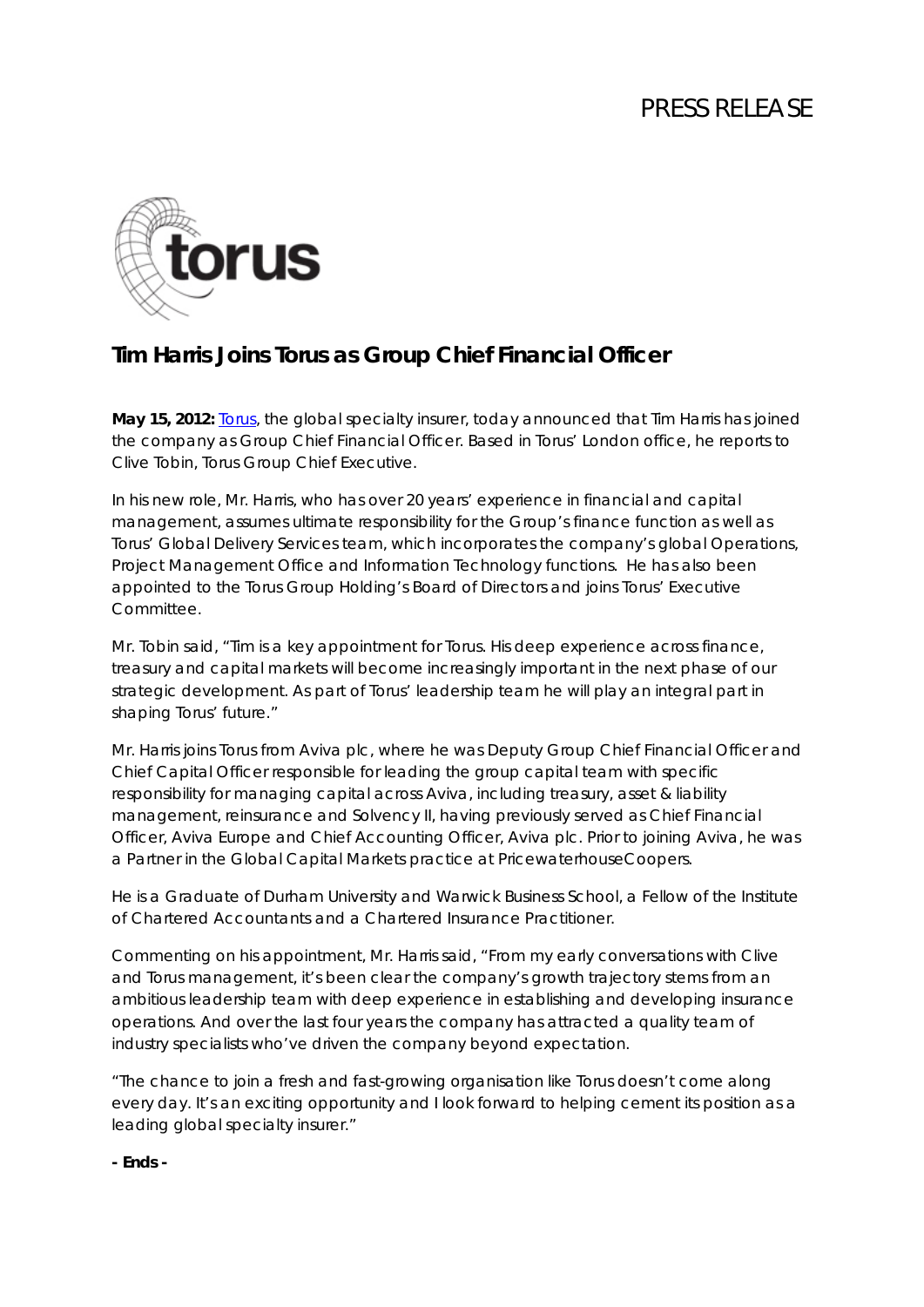# PRESS RELEASE



### **Tim Harris Joins Torus as Group Chief Financial Officer**

**May 15, 2012:** [Torus,](http://www.torusinsurance.com/) the global specialty insurer, today announced that Tim Harris has joined the company as Group Chief Financial Officer. Based in Torus' London office, he reports to Clive Tobin, Torus Group Chief Executive.

In his new role, Mr. Harris, who has over 20 years' experience in financial and capital management, assumes ultimate responsibility for the Group's finance function as well as Torus' Global Delivery Services team, which incorporates the company's global Operations, Project Management Office and Information Technology functions. He has also been appointed to the Torus Group Holding's Board of Directors and joins Torus' Executive Committee.

Mr. Tobin said, "Tim is a key appointment for Torus. His deep experience across finance, treasury and capital markets will become increasingly important in the next phase of our strategic development. As part of Torus' leadership team he will play an integral part in shaping Torus' future."

Mr. Harris joins Torus from Aviva plc, where he was Deputy Group Chief Financial Officer and Chief Capital Officer responsible for leading the group capital team with specific responsibility for managing capital across Aviva, including treasury, asset & liability management, reinsurance and Solvency II, having previously served as Chief Financial Officer, Aviva Europe and Chief Accounting Officer, Aviva plc. Prior to joining Aviva, he was a Partner in the Global Capital Markets practice at PricewaterhouseCoopers.

He is a Graduate of Durham University and Warwick Business School, a Fellow of the Institute of Chartered Accountants and a Chartered Insurance Practitioner.

Commenting on his appointment, Mr. Harris said, "From my early conversations with Clive and Torus management, it's been clear the company's growth trajectory stems from an ambitious leadership team with deep experience in establishing and developing insurance operations. And over the last four years the company has attracted a quality team of industry specialists who've driven the company beyond expectation.

"The chance to join a fresh and fast-growing organisation like Torus doesn't come along every day. It's an exciting opportunity and I look forward to helping cement its position as a leading global specialty insurer."

**- Ends -**